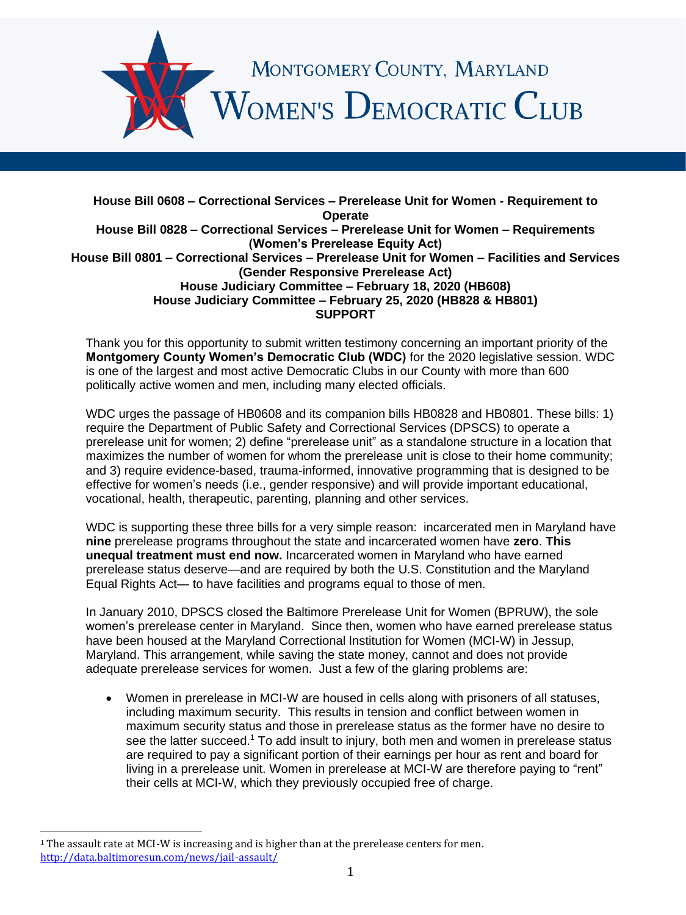

## **House Bill 0608 – Correctional Services – Prerelease Unit for Women - Requirement to Operate House Bill 0828 – Correctional Services – Prerelease Unit for Women – Requirements (Women's Prerelease Equity Act) House Bill 0801 – Correctional Services – Prerelease Unit for Women – Facilities and Services (Gender Responsive Prerelease Act) House Judiciary Committee – February 18, 2020 (HB608) House Judiciary Committee – February 25, 2020 (HB828 & HB801) SUPPORT**

Thank you for this opportunity to submit written testimony concerning an important priority of the **Montgomery County Women's Democratic Club (WDC)** for the 2020 legislative session. WDC is one of the largest and most active Democratic Clubs in our County with more than 600 politically active women and men, including many elected officials.

WDC urges the passage of HB0608 and its companion bills HB0828 and HB0801. These bills: 1) require the Department of Public Safety and Correctional Services (DPSCS) to operate a prerelease unit for women; 2) define "prerelease unit" as a standalone structure in a location that maximizes the number of women for whom the prerelease unit is close to their home community; and 3) require evidence-based, trauma-informed, innovative programming that is designed to be effective for women's needs (i.e., gender responsive) and will provide important educational, vocational, health, therapeutic, parenting, planning and other services.

WDC is supporting these three bills for a very simple reason: incarcerated men in Maryland have **nine** prerelease programs throughout the state and incarcerated women have **zero**. **This unequal treatment must end now.** Incarcerated women in Maryland who have earned prerelease status deserve—and are required by both the U.S. Constitution and the Maryland Equal Rights Act— to have facilities and programs equal to those of men.

In January 2010, DPSCS closed the Baltimore Prerelease Unit for Women (BPRUW), the sole women's prerelease center in Maryland. Since then, women who have earned prerelease status have been housed at the Maryland Correctional Institution for Women (MCI-W) in Jessup, Maryland. This arrangement, while saving the state money, cannot and does not provide adequate prerelease services for women. Just a few of the glaring problems are:

• Women in prerelease in MCI-W are housed in cells along with prisoners of all statuses, including maximum security. This results in tension and conflict between women in maximum security status and those in prerelease status as the former have no desire to see the latter succeed.<sup>1</sup> To add insult to injury, both men and women in prerelease status are required to pay a significant portion of their earnings per hour as rent and board for living in a prerelease unit. Women in prerelease at MCI-W are therefore paying to "rent" their cells at MCI-W, which they previously occupied free of charge.

 $1$  The assault rate at MCI-W is increasing and is higher than at the prerelease centers for men. <http://data.baltimoresun.com/news/jail-assault/>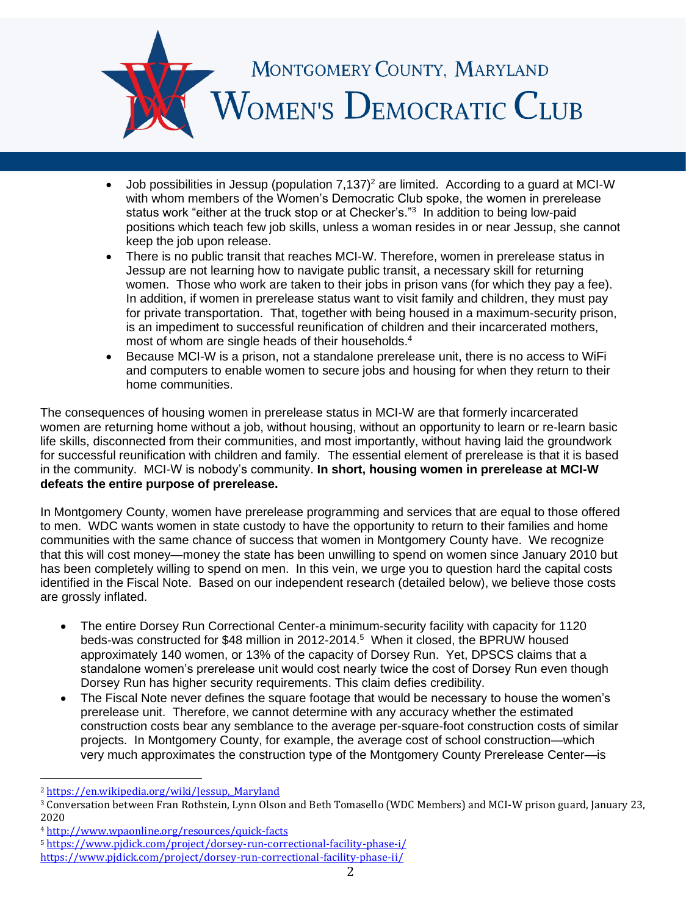

- Job possibilities in Jessup (population  $7,137$ <sup>2</sup> are limited. According to a guard at MCI-W with whom members of the Women's Democratic Club spoke, the women in prerelease status work "either at the truck stop or at Checker's."<sup>3</sup> In addition to being low-paid positions which teach few job skills, unless a woman resides in or near Jessup, she cannot keep the job upon release.
- There is no public transit that reaches MCI-W. Therefore, women in prerelease status in Jessup are not learning how to navigate public transit, a necessary skill for returning women. Those who work are taken to their jobs in prison vans (for which they pay a fee). In addition, if women in prerelease status want to visit family and children, they must pay for private transportation. That, together with being housed in a maximum-security prison, is an impediment to successful reunification of children and their incarcerated mothers, most of whom are single heads of their households.<sup>4</sup>
- Because MCI-W is a prison, not a standalone prerelease unit, there is no access to WiFi and computers to enable women to secure jobs and housing for when they return to their home communities.

The consequences of housing women in prerelease status in MCI-W are that formerly incarcerated women are returning home without a job, without housing, without an opportunity to learn or re-learn basic life skills, disconnected from their communities, and most importantly, without having laid the groundwork for successful reunification with children and family. The essential element of prerelease is that it is based in the community. MCI-W is nobody's community. **In short, housing women in prerelease at MCI-W defeats the entire purpose of prerelease.**

In Montgomery County, women have prerelease programming and services that are equal to those offered to men. WDC wants women in state custody to have the opportunity to return to their families and home communities with the same chance of success that women in Montgomery County have. We recognize that this will cost money—money the state has been unwilling to spend on women since January 2010 but has been completely willing to spend on men. In this vein, we urge you to question hard the capital costs identified in the Fiscal Note. Based on our independent research (detailed below), we believe those costs are grossly inflated.

- The entire Dorsey Run Correctional Center-a minimum-security facility with capacity for 1120 beds-was constructed for \$48 million in 2012-2014.<sup>5</sup> When it closed, the BPRUW housed approximately 140 women, or 13% of the capacity of Dorsey Run. Yet, DPSCS claims that a standalone women's prerelease unit would cost nearly twice the cost of Dorsey Run even though Dorsey Run has higher security requirements. This claim defies credibility.
- The Fiscal Note never defines the square footage that would be necessary to house the women's prerelease unit. Therefore, we cannot determine with any accuracy whether the estimated construction costs bear any semblance to the average per-square-foot construction costs of similar projects. In Montgomery County, for example, the average cost of school construction—which very much approximates the construction type of the Montgomery County Prerelease Center—is

<sup>2</sup> [https://en.wikipedia.org/wiki/Jessup,\\_Maryland](https://en.wikipedia.org/wiki/Jessup,_Maryland)

<sup>3</sup> Conversation between Fran Rothstein, Lynn Olson and Beth Tomasello (WDC Members) and MCI-W prison guard, January 23, 2020

<sup>4</sup> <http://www.wpaonline.org/resources/quick-facts>

<sup>5</sup> <https://www.pjdick.com/project/dorsey-run-correctional-facility-phase-i/>

<https://www.pjdick.com/project/dorsey-run-correctional-facility-phase-ii/>